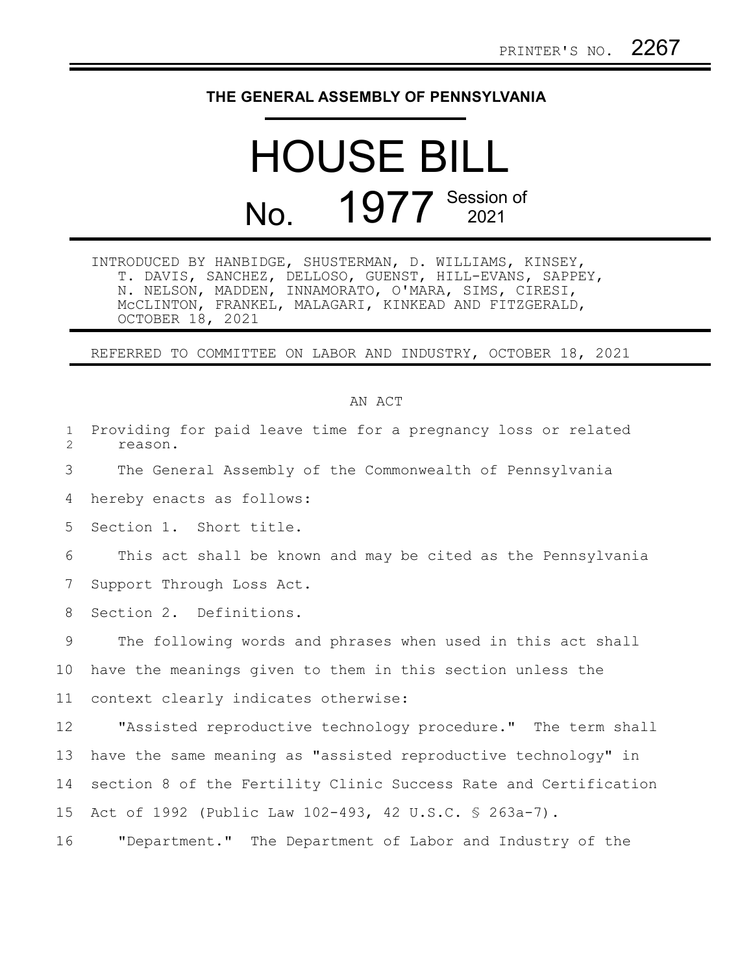## **THE GENERAL ASSEMBLY OF PENNSYLVANIA**

## HOUSE BILL No. 1977 Session of

INTRODUCED BY HANBIDGE, SHUSTERMAN, D. WILLIAMS, KINSEY, T. DAVIS, SANCHEZ, DELLOSO, GUENST, HILL-EVANS, SAPPEY, N. NELSON, MADDEN, INNAMORATO, O'MARA, SIMS, CIRESI, McCLINTON, FRANKEL, MALAGARI, KINKEAD AND FITZGERALD, OCTOBER 18, 2021

REFERRED TO COMMITTEE ON LABOR AND INDUSTRY, OCTOBER 18, 2021

## AN ACT

| $\mathbf 1$<br>$\overline{2}$ | Providing for paid leave time for a pregnancy loss or related<br>reason. |
|-------------------------------|--------------------------------------------------------------------------|
| 3                             | The General Assembly of the Commonwealth of Pennsylvania                 |
| 4                             | hereby enacts as follows:                                                |
| 5                             | Section 1. Short title.                                                  |
| 6                             | This act shall be known and may be cited as the Pennsylvania             |
| 7                             | Support Through Loss Act.                                                |
| 8                             | Section 2. Definitions.                                                  |
| 9                             | The following words and phrases when used in this act shall              |
| 10                            | have the meanings given to them in this section unless the               |
| 11                            | context clearly indicates otherwise:                                     |
| 12 <sup>°</sup>               | "Assisted reproductive technology procedure." The term shall             |
| 13                            | have the same meaning as "assisted reproductive technology" in           |
| 14                            | section 8 of the Fertility Clinic Success Rate and Certification         |
| 15                            | Act of 1992 (Public Law 102-493, 42 U.S.C. § 263a-7).                    |
| 16                            | "Department." The Department of Labor and Industry of the                |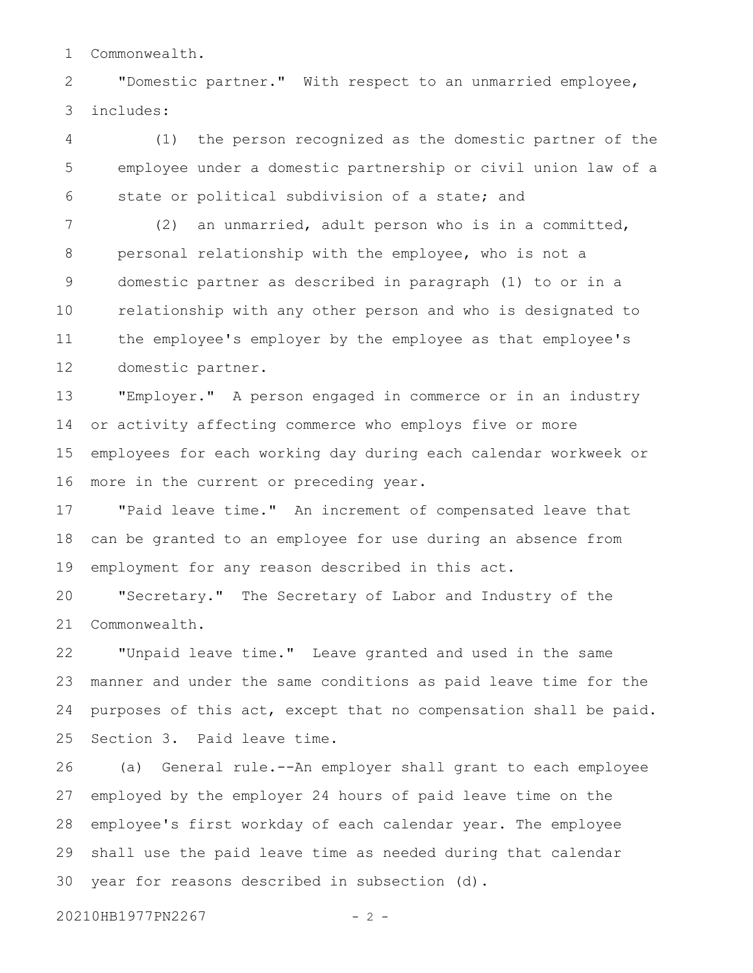Commonwealth. 1

"Domestic partner." With respect to an unmarried employee, includes: 2 3

(1) the person recognized as the domestic partner of the employee under a domestic partnership or civil union law of a state or political subdivision of a state; and 4 5 6

(2) an unmarried, adult person who is in a committed, personal relationship with the employee, who is not a domestic partner as described in paragraph (1) to or in a relationship with any other person and who is designated to the employee's employer by the employee as that employee's domestic partner. 7 8 9 10 11 12

"Employer." A person engaged in commerce or in an industry or activity affecting commerce who employs five or more employees for each working day during each calendar workweek or more in the current or preceding year. 13 14 15 16

"Paid leave time." An increment of compensated leave that can be granted to an employee for use during an absence from employment for any reason described in this act. 17 18 19

"Secretary." The Secretary of Labor and Industry of the Commonwealth. 20 21

"Unpaid leave time." Leave granted and used in the same manner and under the same conditions as paid leave time for the purposes of this act, except that no compensation shall be paid. Section 3. Paid leave time. 22 23 24 25

(a) General rule.--An employer shall grant to each employee employed by the employer 24 hours of paid leave time on the employee's first workday of each calendar year. The employee shall use the paid leave time as needed during that calendar year for reasons described in subsection (d). 26 27 28 29 30

20210HB1977PN2267 - 2 -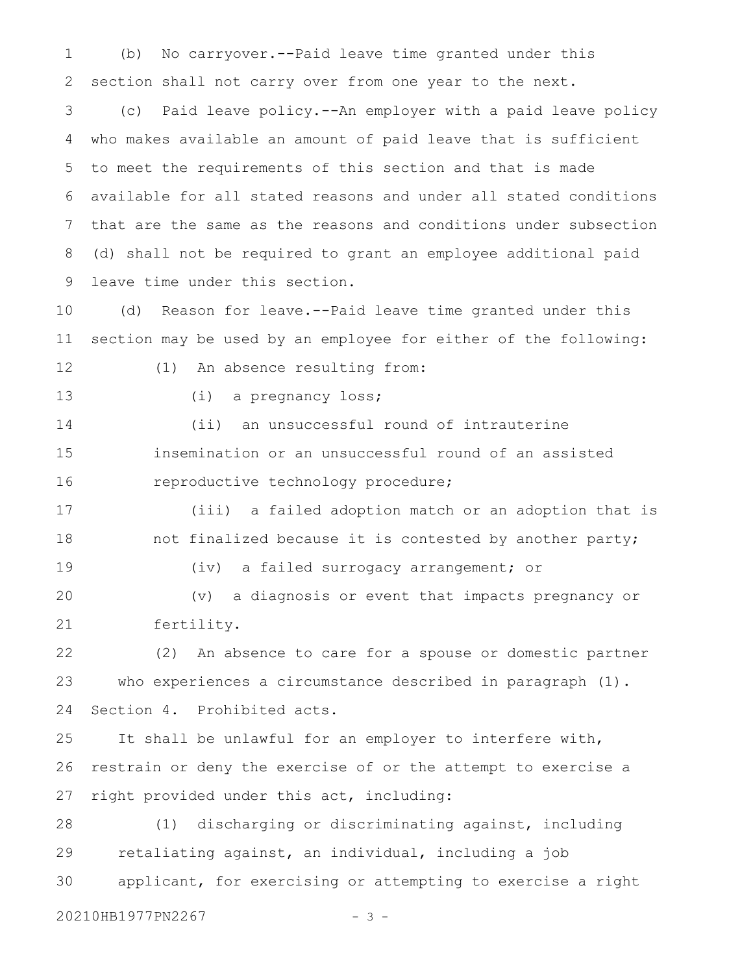(b) No carryover.--Paid leave time granted under this section shall not carry over from one year to the next. 1 2

(c) Paid leave policy.--An employer with a paid leave policy who makes available an amount of paid leave that is sufficient to meet the requirements of this section and that is made available for all stated reasons and under all stated conditions that are the same as the reasons and conditions under subsection (d) shall not be required to grant an employee additional paid leave time under this section. 3 4 5 6 7 8 9

(d) Reason for leave.--Paid leave time granted under this section may be used by an employee for either of the following: 10 11

12

13

(i) a pregnancy loss;

(1) An absence resulting from:

(ii) an unsuccessful round of intrauterine insemination or an unsuccessful round of an assisted reproductive technology procedure; 14 15 16

(iii) a failed adoption match or an adoption that is not finalized because it is contested by another party; 17 18

19

(iv) a failed surrogacy arrangement; or

(v) a diagnosis or event that impacts pregnancy or fertility. 20 21

(2) An absence to care for a spouse or domestic partner who experiences a circumstance described in paragraph (1). Section 4. Prohibited acts. 22 23 24

It shall be unlawful for an employer to interfere with, restrain or deny the exercise of or the attempt to exercise a right provided under this act, including: 25 26 27

(1) discharging or discriminating against, including retaliating against, an individual, including a job applicant, for exercising or attempting to exercise a right 20210HB1977PN2267 - 3 -28 29 30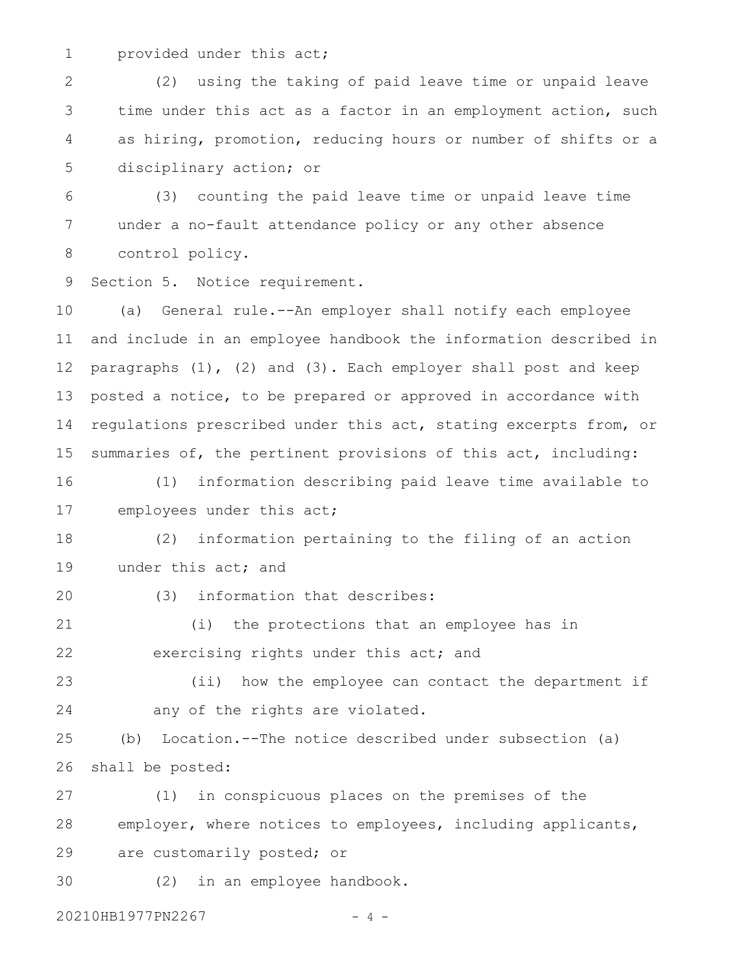provided under this act; 1

(2) using the taking of paid leave time or unpaid leave time under this act as a factor in an employment action, such as hiring, promotion, reducing hours or number of shifts or a disciplinary action; or 2 3 4 5

(3) counting the paid leave time or unpaid leave time under a no-fault attendance policy or any other absence control policy. 6 7 8

Section 5. Notice requirement. 9

(a) General rule.--An employer shall notify each employee and include in an employee handbook the information described in paragraphs (1), (2) and (3). Each employer shall post and keep posted a notice, to be prepared or approved in accordance with regulations prescribed under this act, stating excerpts from, or summaries of, the pertinent provisions of this act, including: (1) information describing paid leave time available to 10 11 12 13 14 15 16

employees under this act; 17

(2) information pertaining to the filing of an action under this act; and 18 19

20

(3) information that describes:

(i) the protections that an employee has in exercising rights under this act; and 21 22

(ii) how the employee can contact the department if any of the rights are violated. 23 24

(b) Location.--The notice described under subsection (a) shall be posted: 25 26

(1) in conspicuous places on the premises of the employer, where notices to employees, including applicants, are customarily posted; or 27 28 29

(2) in an employee handbook. 30

20210HB1977PN2267 - 4 -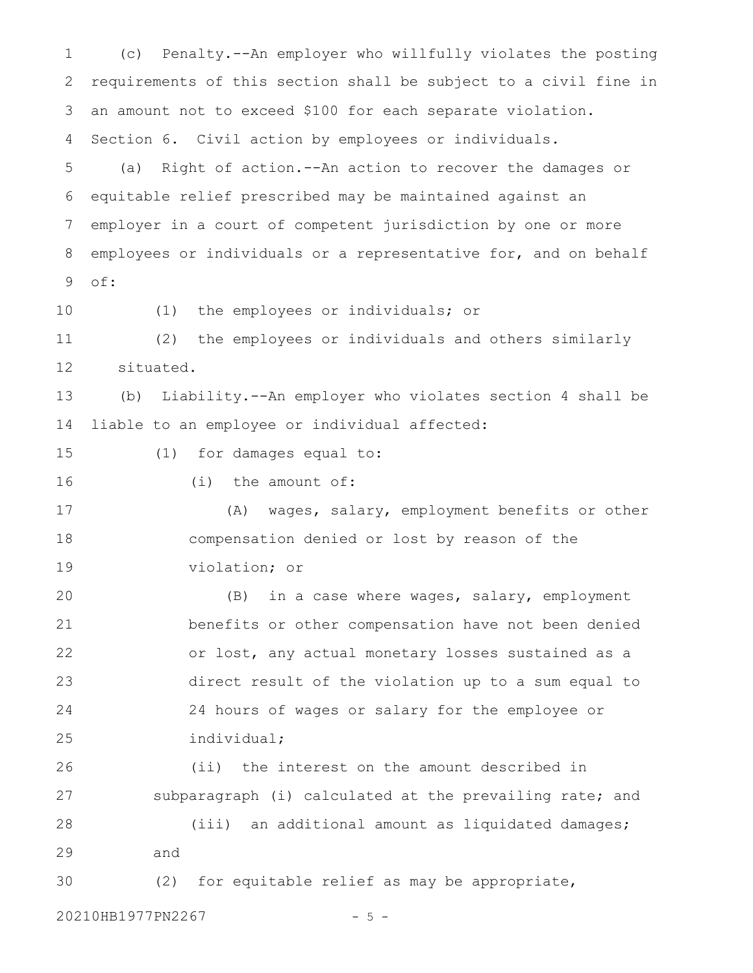(c) Penalty.--An employer who willfully violates the posting requirements of this section shall be subject to a civil fine in an amount not to exceed \$100 for each separate violation. Section 6. Civil action by employees or individuals. (a) Right of action.--An action to recover the damages or equitable relief prescribed may be maintained against an employer in a court of competent jurisdiction by one or more employees or individuals or a representative for, and on behalf of: (1) the employees or individuals; or (2) the employees or individuals and others similarly situated. (b) Liability.--An employer who violates section 4 shall be liable to an employee or individual affected: (1) for damages equal to: (i) the amount of: (A) wages, salary, employment benefits or other compensation denied or lost by reason of the violation; or (B) in a case where wages, salary, employment benefits or other compensation have not been denied or lost, any actual monetary losses sustained as a direct result of the violation up to a sum equal to 24 hours of wages or salary for the employee or individual; (ii) the interest on the amount described in subparagraph (i) calculated at the prevailing rate; and (iii) an additional amount as liquidated damages; and (2) for equitable relief as may be appropriate, 1 2 3 4 5 6 7 8 9 10 11 12 13 14 15 16 17 18 19 20 21 22 23 24 25 26 27 28 29 30

20210HB1977PN2267 - 5 -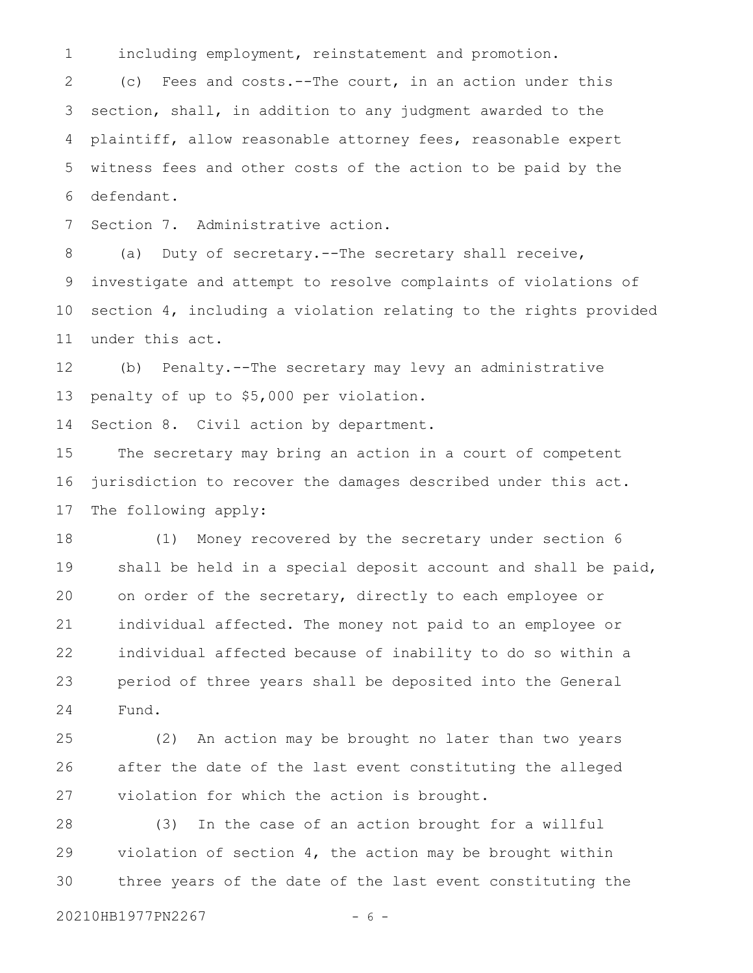including employment, reinstatement and promotion. 1

(c) Fees and costs.--The court, in an action under this section, shall, in addition to any judgment awarded to the plaintiff, allow reasonable attorney fees, reasonable expert witness fees and other costs of the action to be paid by the defendant. 2 3 4 5 6

Section 7. Administrative action. 7

(a) Duty of secretary.--The secretary shall receive, investigate and attempt to resolve complaints of violations of section 4, including a violation relating to the rights provided under this act. 8 9 10 11

(b) Penalty.--The secretary may levy an administrative penalty of up to \$5,000 per violation. 12 13

Section 8. Civil action by department. 14

The secretary may bring an action in a court of competent jurisdiction to recover the damages described under this act. The following apply: 15 16 17

(1) Money recovered by the secretary under section 6 shall be held in a special deposit account and shall be paid, on order of the secretary, directly to each employee or individual affected. The money not paid to an employee or individual affected because of inability to do so within a period of three years shall be deposited into the General Fund. 18 19 20 21 22 23 24

(2) An action may be brought no later than two years after the date of the last event constituting the alleged violation for which the action is brought. 25 26 27

(3) In the case of an action brought for a willful violation of section  $4$ , the action may be brought within three years of the date of the last event constituting the 28 29 30